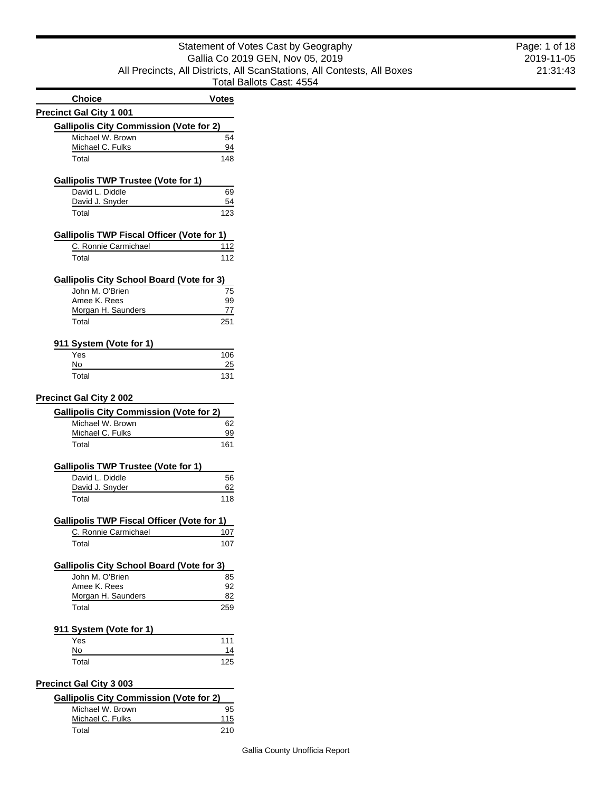| <b>Choice</b>                                     | <b>Votes</b> |
|---------------------------------------------------|--------------|
| <b>Precinct Gal City 1 001</b>                    |              |
| <b>Gallipolis City Commission (Vote for 2)</b>    |              |
| Michael W. Brown                                  | 54           |
| Michael C. Fulks                                  | 94           |
| Total                                             | 148          |
| <b>Gallipolis TWP Trustee (Vote for 1)</b>        |              |
| David L. Diddle                                   | 69           |
| David J. Snyder                                   | 54           |
| Total                                             | 123          |
| <b>Gallipolis TWP Fiscal Officer (Vote for 1)</b> |              |
| C. Ronnie Carmichael                              | 112          |
| Total                                             | 112          |
| <b>Gallipolis City School Board (Vote for 3)</b>  |              |
| John M. O'Brien                                   | 75           |
| Amee K. Rees                                      | 99           |
| Morgan H. Saunders                                | 77           |
| Total                                             | 251          |
| 911 System (Vote for 1)                           |              |
| Yes                                               | 106          |
| No                                                | 25           |
| Total                                             | 131          |
| <b>Precinct Gal City 2 002</b>                    |              |
| <b>Gallipolis City Commission (Vote for 2)</b>    |              |
| Michael W. Brown                                  | 62           |
| Michael C. Fulks                                  | <u>99</u>    |
| Total                                             | 161          |
| <b>Gallipolis TWP Trustee (Vote for 1)</b>        |              |
| David L. Diddle                                   | 56           |
| David J. Snyder                                   | 62           |
| Total                                             | 118          |
| <b>Gallipolis TWP Fiscal Officer (Vote for 1)</b> |              |
| C. Ronnie Carmichael                              | 107          |
| Total                                             | 107          |
| <b>Gallipolis City School Board (Vote for 3)</b>  |              |
| John M. O'Brien                                   | 85           |
| Amee K. Rees                                      | 92           |
| Morgan H. Saunders                                | 82           |
| Total                                             | 259          |
| 911 System (Vote for 1)                           |              |
| Yes                                               | 111          |
| No                                                | 14           |
| Total                                             | 125          |
| <b>Precinct Gal City 3 003</b>                    |              |
| <b>Gallipolis City Commission (Vote for 2)</b>    |              |
| Michael W. Brown                                  | 95           |
| Michael C. Fulks                                  | 115          |

Total 210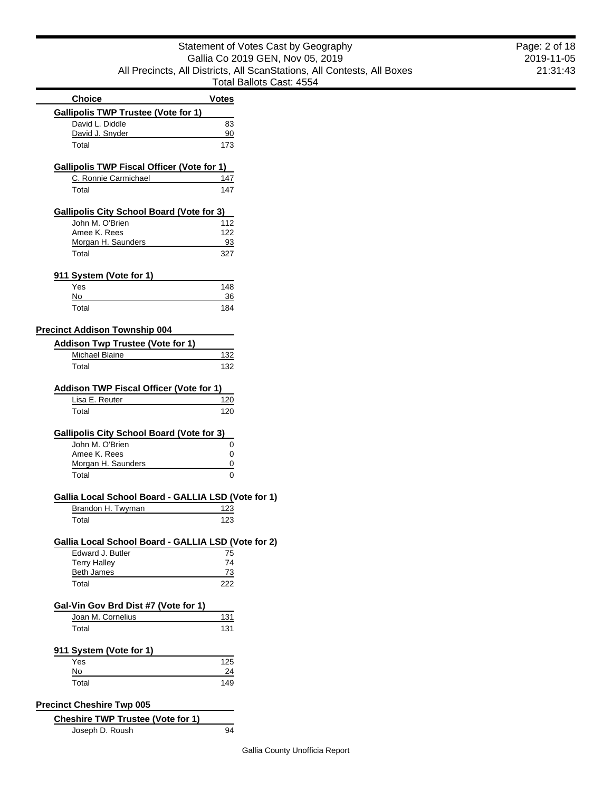|                                                     |              | i viai Dallvio ( |
|-----------------------------------------------------|--------------|------------------|
| <b>Choice</b>                                       | <b>Votes</b> |                  |
| <b>Gallipolis TWP Trustee (Vote for 1)</b>          |              |                  |
| David L. Diddle                                     | 83           |                  |
| David J. Snyder                                     | 90           |                  |
| Total                                               | 173          |                  |
|                                                     |              |                  |
| <b>Gallipolis TWP Fiscal Officer (Vote for 1)</b>   |              |                  |
| C. Ronnie Carmichael                                | 147          |                  |
| Total                                               | 147          |                  |
|                                                     |              |                  |
| <b>Gallipolis City School Board (Vote for 3)</b>    |              |                  |
| John M. O'Brien                                     | 112          |                  |
| Amee K. Rees                                        | 122          |                  |
| Morgan H. Saunders                                  | 93           |                  |
| Total                                               | 327          |                  |
|                                                     |              |                  |
| 911 System (Vote for 1)                             |              |                  |
| Yes                                                 | 148          |                  |
| No                                                  | 36           |                  |
| Total                                               | 184          |                  |
| <b>Precinct Addison Township 004</b>                |              |                  |
|                                                     |              |                  |
| <b>Addison Twp Trustee (Vote for 1)</b>             |              |                  |
| Michael Blaine                                      | 132          |                  |
| Total                                               | 132          |                  |
| Addison TWP Fiscal Officer (Vote for 1)             |              |                  |
|                                                     |              |                  |
| Lisa E. Reuter                                      | 120          |                  |
| Total                                               | 120          |                  |
| <b>Gallipolis City School Board (Vote for 3)</b>    |              |                  |
| John M. O'Brien                                     | 0            |                  |
| Amee K. Rees                                        | 0            |                  |
| Morgan H. Saunders                                  | 0            |                  |
| Total                                               | 0            |                  |
|                                                     |              |                  |
| Gallia Local School Board - GALLIA LSD (Vote for 1) |              |                  |
| Brandon H. Twyman                                   | 123          |                  |
| Total                                               | 123          |                  |
|                                                     |              |                  |
| Gallia Local School Board - GALLIA LSD (Vote for 2) |              |                  |
| Edward J. Butler                                    | 75           |                  |
| <b>Terry Halley</b>                                 | 74           |                  |
| <b>Beth James</b>                                   | 73           |                  |
| Total                                               | 222          |                  |
|                                                     |              |                  |
| Gal-Vin Gov Brd Dist #7 (Vote for 1)                |              |                  |
| Joan M. Cornelius                                   | 131          |                  |
| Total                                               | 131          |                  |
|                                                     |              |                  |
| 911 System (Vote for 1)                             |              |                  |
| Yes                                                 | 125          |                  |
| No                                                  | 24           |                  |
| Total                                               | 149          |                  |
| <b>Precinct Cheshire Twp 005</b>                    |              |                  |
|                                                     |              |                  |

| <b>Cheshire TWP Trustee (Vote for 1)</b> |    |
|------------------------------------------|----|
| Joseph D. Roush                          | 94 |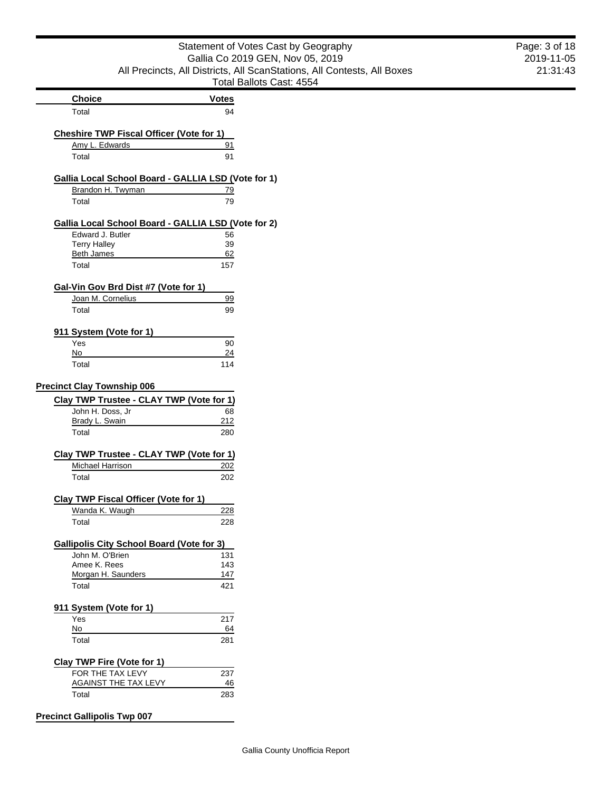|                                                     | Statement of Votes Cast by Geography                                    | Page: 3 of 18 |
|-----------------------------------------------------|-------------------------------------------------------------------------|---------------|
|                                                     | Gallia Co 2019 GEN, Nov 05, 2019                                        | 2019-11-05    |
|                                                     | All Precincts, All Districts, All ScanStations, All Contests, All Boxes | 21:31:43      |
|                                                     | Total Ballots Cast: 4554                                                |               |
| <b>Choice</b>                                       | <b>Votes</b>                                                            |               |
| Total                                               | 94                                                                      |               |
| <b>Cheshire TWP Fiscal Officer (Vote for 1)</b>     |                                                                         |               |
| Amy L. Edwards                                      | 91                                                                      |               |
| Total                                               | 91                                                                      |               |
| Gallia Local School Board - GALLIA LSD (Vote for 1) |                                                                         |               |
| Brandon H. Twyman                                   | 79                                                                      |               |
| Total                                               | 79                                                                      |               |
| Gallia Local School Board - GALLIA LSD (Vote for 2) |                                                                         |               |
| Edward J. Butler                                    | 56                                                                      |               |
| <b>Terry Halley</b>                                 | 39                                                                      |               |
| <b>Beth James</b>                                   | 62                                                                      |               |
| Total                                               | 157                                                                     |               |
| Gal-Vin Gov Brd Dist #7 (Vote for 1)                |                                                                         |               |
| Joan M. Cornelius                                   | 99                                                                      |               |
| Total                                               | 99                                                                      |               |
| 911 System (Vote for 1)                             |                                                                         |               |
| Yes                                                 | 90                                                                      |               |
| No                                                  | 24                                                                      |               |
| Total                                               | 114                                                                     |               |
| <b>Precinct Clay Township 006</b>                   |                                                                         |               |
| Clay TWP Trustee - CLAY TWP (Vote for 1)            |                                                                         |               |
| John H. Doss, Jr                                    | 68                                                                      |               |
| Brady L. Swain                                      | 212                                                                     |               |
| Total                                               | 280                                                                     |               |
| Clay TWP Trustee - CLAY TWP (Vote for 1)            |                                                                         |               |
| Michael Harrison                                    | 202                                                                     |               |
| Total                                               | 202                                                                     |               |
| <b>Clay TWP Fiscal Officer (Vote for 1)</b>         |                                                                         |               |
| Wanda K. Waugh                                      | 228                                                                     |               |
| Total                                               | 228                                                                     |               |
| <b>Gallipolis City School Board (Vote for 3)</b>    |                                                                         |               |
| John M. O'Brien                                     | 131                                                                     |               |
| Amee K. Rees                                        | 143                                                                     |               |
| Morgan H. Saunders                                  | $147$                                                                   |               |
| Total                                               | 421                                                                     |               |
| 911 System (Vote for 1)                             |                                                                         |               |
| Yes                                                 | 217                                                                     |               |
| $No$                                                | 64                                                                      |               |
| Total                                               | 281                                                                     |               |
| Clay TWP Fire (Vote for 1)                          |                                                                         |               |
| FOR THE TAX LEVY                                    | 237                                                                     |               |
| <b>AGAINST THE TAX LEVY</b><br>Total                | 46<br>283                                                               |               |
|                                                     |                                                                         |               |
| <b>Precinct Gallipolis Twp 007</b>                  |                                                                         |               |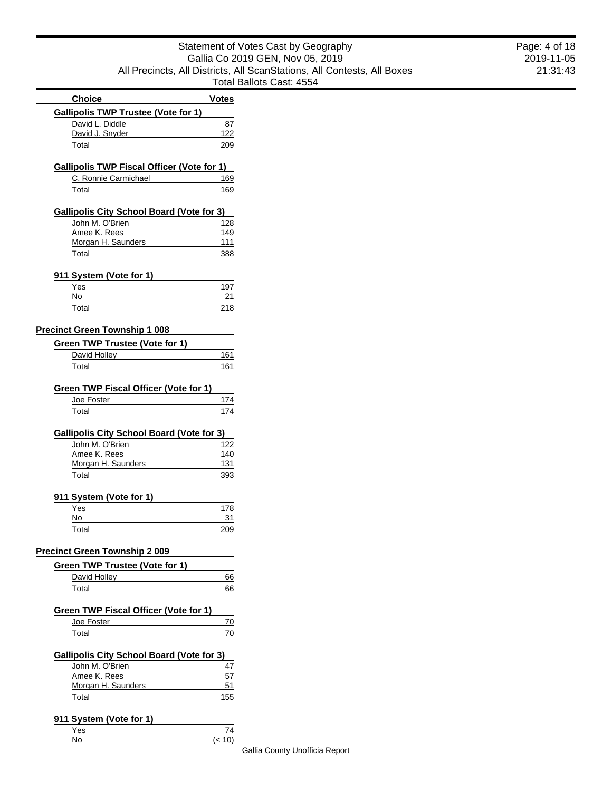| <b>Choice</b><br><b>Votes</b><br><b>Gallipolis TWP Trustee (Vote for 1)</b><br>David L. Diddle<br>87<br>David J. Snyder<br><u> 122</u><br>Total<br>209<br><b>Gallipolis TWP Fiscal Officer (Vote for 1)</b><br>C. Ronnie Carmichael<br>169<br>Total<br>169<br><b>Gallipolis City School Board (Vote for 3)</b><br>John M. O'Brien<br>128<br>Amee K. Rees<br>149<br>Morgan H. Saunders<br>111<br>Total<br>388<br>911 System (Vote for 1)<br>Yes<br>197<br>No<br><u>21</u><br>Total<br>218<br><b>Precinct Green Township 1 008</b> |
|----------------------------------------------------------------------------------------------------------------------------------------------------------------------------------------------------------------------------------------------------------------------------------------------------------------------------------------------------------------------------------------------------------------------------------------------------------------------------------------------------------------------------------|
|                                                                                                                                                                                                                                                                                                                                                                                                                                                                                                                                  |
|                                                                                                                                                                                                                                                                                                                                                                                                                                                                                                                                  |
|                                                                                                                                                                                                                                                                                                                                                                                                                                                                                                                                  |
|                                                                                                                                                                                                                                                                                                                                                                                                                                                                                                                                  |
|                                                                                                                                                                                                                                                                                                                                                                                                                                                                                                                                  |
|                                                                                                                                                                                                                                                                                                                                                                                                                                                                                                                                  |
|                                                                                                                                                                                                                                                                                                                                                                                                                                                                                                                                  |
|                                                                                                                                                                                                                                                                                                                                                                                                                                                                                                                                  |
|                                                                                                                                                                                                                                                                                                                                                                                                                                                                                                                                  |
|                                                                                                                                                                                                                                                                                                                                                                                                                                                                                                                                  |
|                                                                                                                                                                                                                                                                                                                                                                                                                                                                                                                                  |
|                                                                                                                                                                                                                                                                                                                                                                                                                                                                                                                                  |
|                                                                                                                                                                                                                                                                                                                                                                                                                                                                                                                                  |
|                                                                                                                                                                                                                                                                                                                                                                                                                                                                                                                                  |
|                                                                                                                                                                                                                                                                                                                                                                                                                                                                                                                                  |
|                                                                                                                                                                                                                                                                                                                                                                                                                                                                                                                                  |
|                                                                                                                                                                                                                                                                                                                                                                                                                                                                                                                                  |
|                                                                                                                                                                                                                                                                                                                                                                                                                                                                                                                                  |
|                                                                                                                                                                                                                                                                                                                                                                                                                                                                                                                                  |
| <b>Green TWP Trustee (Vote for 1)</b>                                                                                                                                                                                                                                                                                                                                                                                                                                                                                            |
| David Holley<br>161                                                                                                                                                                                                                                                                                                                                                                                                                                                                                                              |
| 161<br>Total                                                                                                                                                                                                                                                                                                                                                                                                                                                                                                                     |
| Green TWP Fiscal Officer (Vote for 1)                                                                                                                                                                                                                                                                                                                                                                                                                                                                                            |
| Joe Foster<br>174                                                                                                                                                                                                                                                                                                                                                                                                                                                                                                                |
| Total<br>174                                                                                                                                                                                                                                                                                                                                                                                                                                                                                                                     |
| <b>Gallipolis City School Board (Vote for 3)</b>                                                                                                                                                                                                                                                                                                                                                                                                                                                                                 |
| John M. O'Brien<br>122                                                                                                                                                                                                                                                                                                                                                                                                                                                                                                           |
| Amee K. Rees<br>140                                                                                                                                                                                                                                                                                                                                                                                                                                                                                                              |
| Morgan H. Saunders<br>131                                                                                                                                                                                                                                                                                                                                                                                                                                                                                                        |
| Total                                                                                                                                                                                                                                                                                                                                                                                                                                                                                                                            |
| 393                                                                                                                                                                                                                                                                                                                                                                                                                                                                                                                              |
| 911 System (Vote for 1)                                                                                                                                                                                                                                                                                                                                                                                                                                                                                                          |
| Yes<br>178                                                                                                                                                                                                                                                                                                                                                                                                                                                                                                                       |
| No<br>31                                                                                                                                                                                                                                                                                                                                                                                                                                                                                                                         |
| Total<br>209                                                                                                                                                                                                                                                                                                                                                                                                                                                                                                                     |
| <b>Precinct Green Township 2 009</b>                                                                                                                                                                                                                                                                                                                                                                                                                                                                                             |
| Green TWP Trustee (Vote for 1)                                                                                                                                                                                                                                                                                                                                                                                                                                                                                                   |
| David Holley<br>66                                                                                                                                                                                                                                                                                                                                                                                                                                                                                                               |
| Total<br>66                                                                                                                                                                                                                                                                                                                                                                                                                                                                                                                      |
| <b>Green TWP Fiscal Officer (Vote for 1)</b>                                                                                                                                                                                                                                                                                                                                                                                                                                                                                     |

Е

| Green TWP Fiscal Officer (Vote for 1)     |     |
|-------------------------------------------|-----|
| Joe Foster                                | 70  |
| Total                                     | 70  |
| Gallipolis City School Board (Vote for 3) |     |
| John M. O'Brien                           | 47  |
| Amee K. Rees                              | 57  |
| Morgan H. Saunders                        | 51  |
| Total                                     | 155 |

## **911 System (Vote for 1)**

| Yes | 74     |
|-----|--------|
| No  | (< 10) |

Gallia County Unofficia Report

 $(< 10)$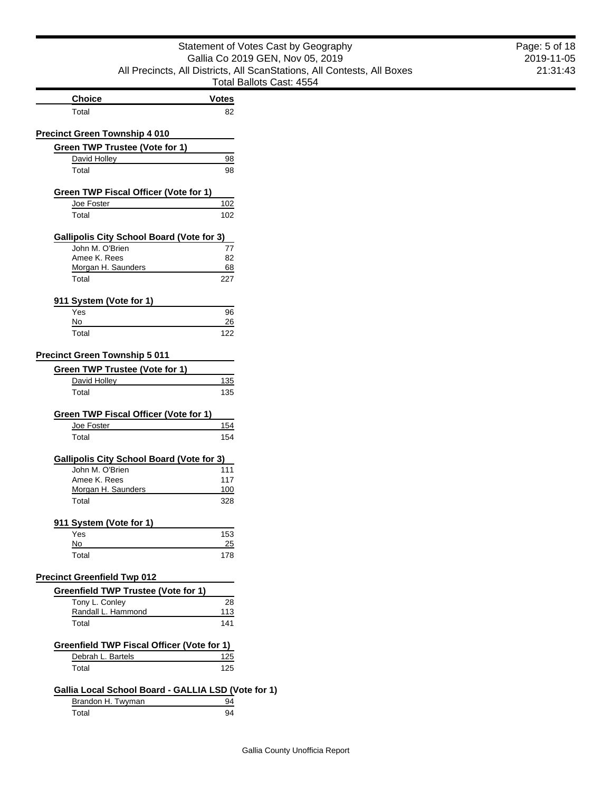| Statement of Votes Cast by Geography                                    |
|-------------------------------------------------------------------------|
| Gallia Co 2019 GEN, Nov 05, 2019                                        |
| All Precincts, All Districts, All ScanStations, All Contests, All Boxes |
| Total Ballots Cast: 4554                                                |

| eography                | Page: 5 of 18 |
|-------------------------|---------------|
| 5. 2019                 | 2019-11-05    |
| All Contests, All Boxes | 21:31:43      |
| 54                      |               |

| <b>Choice</b> | <b>Votes</b> |
|---------------|--------------|
| Total         |              |

## **Precinct Green Township 4 010**

| Green TWP Trustee (Vote for 1) |    |
|--------------------------------|----|
| David Holley                   |    |
| Total                          | 98 |

| Green TWP Fiscal Officer (Vote for 1) |     |
|---------------------------------------|-----|
| Joe Foster                            | 102 |
| Total                                 | 102 |

## **Gallipolis City School Board (Vote for 3)**

| 77  |
|-----|
| 82  |
| 68  |
| 227 |
|     |

## **911 System (Vote for 1)**

| Yes   | 96  |
|-------|-----|
| No    | 26  |
| Total | 122 |

#### **Precinct Green Township 5 011**

| Green TWP Trustee (Vote for 1) |     |
|--------------------------------|-----|
| David Holley                   | 135 |
| Total                          | 135 |

| Green TWP Fiscal Officer (Vote for 1) |     |
|---------------------------------------|-----|
| Joe Foster                            | 154 |
| Total                                 | 154 |

| Gallipolis City School Board (Vote for 3) |     |
|-------------------------------------------|-----|
| John M. O'Brien                           | 111 |
| Amee K. Rees                              | 117 |
| Morgan H. Saunders                        | 100 |

| F-1-1<br>וגזו<br>ישי | $\sim$ |
|----------------------|--------|
|                      |        |

## **911 System (Vote for 1)**

| Yes   | 153 |
|-------|-----|
| No    | 25  |
| Total | 178 |

#### **Precinct Greenfield Twp 012**

| Greenfield TWP Trustee (Vote for 1) |     |
|-------------------------------------|-----|
| Tony L. Conley                      | 28  |
| Randall L. Hammond                  | 113 |
| Total                               | 141 |

#### **Greenfield TWP Fiscal Officer (Vote for 1)** Debrah L. Bartels 125 Total 125

# **Gallia Local School Board - GALLIA LSD (Vote for 1)**

| Brandon H. Twyman |  |
|-------------------|--|
|                   |  |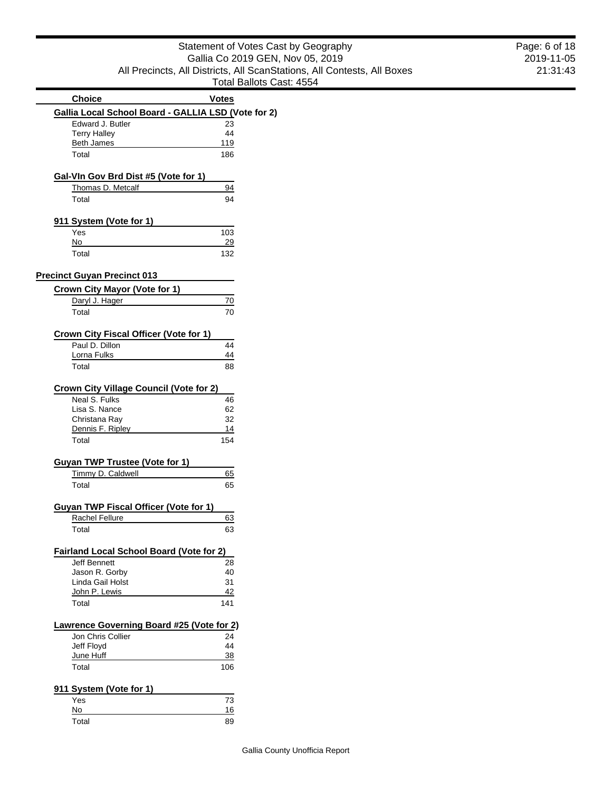| Statement of Votes Cast by Geography                                    |
|-------------------------------------------------------------------------|
| Gallia Co 2019 GEN, Nov 05, 2019                                        |
| All Precincts, All Districts, All ScanStations, All Contests, All Boxes |
| Total Ballots Cast: 4554                                                |

|                                                          | i vidi Dalivis U |
|----------------------------------------------------------|------------------|
| <b>Choice</b>                                            | <b>Votes</b>     |
| Gallia Local School Board - GALLIA LSD (Vote for 2)      |                  |
| Edward J. Butler                                         | 23               |
| <b>Terry Halley</b>                                      | 44               |
| <b>Beth James</b>                                        | 119              |
| Total                                                    | 186              |
| Gal-VIn Gov Brd Dist #5 (Vote for 1)                     |                  |
| Thomas D. Metcalf                                        | 94               |
| Total                                                    | 94               |
|                                                          |                  |
| 911 System (Vote for 1)                                  |                  |
| Yes                                                      | 103              |
| No                                                       | 29               |
| Total                                                    | 132              |
| <b>Precinct Guyan Precinct 013</b>                       |                  |
| Crown City Mayor (Vote for 1)                            |                  |
| Daryl J. Hager                                           | 70               |
| Total                                                    | 70               |
|                                                          |                  |
| Crown City Fiscal Officer (Vote for 1)                   |                  |
| Paul D. Dillon                                           | 44               |
| Lorna Fulks                                              | 44               |
| Total                                                    | 88               |
| <b>Crown City Village Council (Vote for 2)</b>           |                  |
| Neal S. Fulks                                            | 46               |
| Lisa S. Nance                                            | 62               |
| Christana Ray                                            | 32               |
| Dennis F. Ripley                                         | 14               |
| Total                                                    | 154              |
| <b>Guyan TWP Trustee (Vote for 1)</b>                    |                  |
| Timmy D. Caldwell                                        | 65               |
| Total                                                    | 65               |
|                                                          |                  |
| <b>Guyan TWP Fiscal Officer (Vote for 1)</b>             |                  |
| Rachel Fellure                                           | 63               |
| Total                                                    | 63               |
|                                                          |                  |
| Fairland Local School Board (Vote for 2)<br>Jeff Bennett | 28               |
| Jason R. Gorby                                           | 40               |
| Linda Gail Holst                                         | 31               |
| John P. Lewis                                            | 42               |
| Total                                                    | 141              |
|                                                          |                  |
| Lawrence Governing Board #25 (Vote for 2)                |                  |
| Jon Chris Collier<br>Jeff Floyd                          | 24<br>44         |
| June Huff                                                | 38               |
| Total                                                    | 106              |
|                                                          |                  |
| 911 System (Vote for 1)                                  |                  |
| Yes                                                      | 73               |
| No                                                       | 16               |
| Total                                                    | 89               |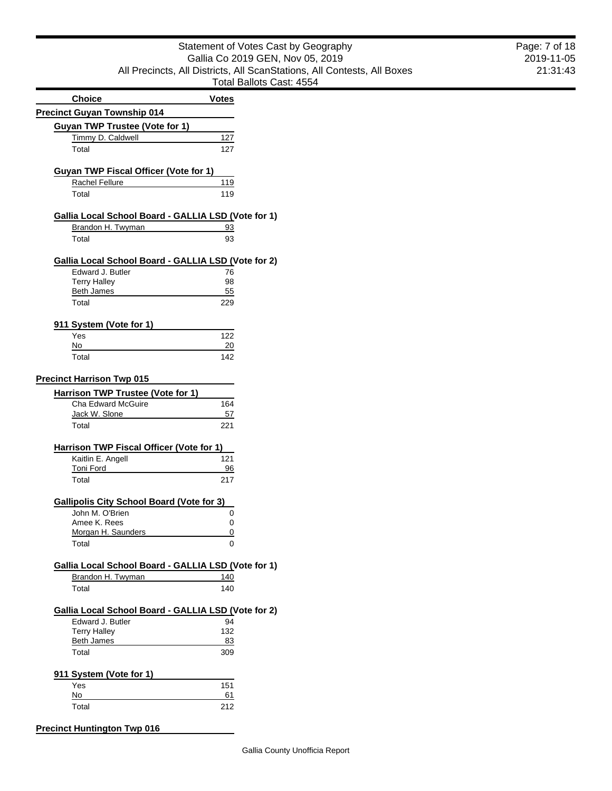# Statement of Votes Cast by Geography Gallia Co 2019 GEN, Nov 05, 2019 All Precincts, All Districts, All ScanStations, All Contests, All Boxes Total Ballots Cast: 4554

|                                                     | i vidi Dalivis Ur |  |
|-----------------------------------------------------|-------------------|--|
| <b>Choice</b>                                       | Votes             |  |
| <b>Precinct Guyan Township 014</b>                  |                   |  |
|                                                     |                   |  |
| Guyan TWP Trustee (Vote for 1)                      |                   |  |
| Timmy D. Caldwell                                   | 127               |  |
| Total                                               | 127               |  |
|                                                     |                   |  |
| <b>Guyan TWP Fiscal Officer (Vote for 1)</b>        |                   |  |
| Rachel Fellure                                      | 119               |  |
| Total                                               | 119               |  |
|                                                     |                   |  |
| Gallia Local School Board - GALLIA LSD (Vote for 1) |                   |  |
| Brandon H. Twyman                                   | 93                |  |
| Total                                               | 93                |  |
|                                                     |                   |  |
| Gallia Local School Board - GALLIA LSD (Vote for 2) |                   |  |
| Edward J. Butler                                    | 76                |  |
| <b>Terry Halley</b>                                 | 98                |  |
| <b>Beth James</b>                                   | 55                |  |
| Total                                               | 229               |  |
|                                                     |                   |  |
| 911 System (Vote for 1)                             |                   |  |
| Yes<br>No                                           | 122<br>20         |  |
| Total                                               | 142               |  |
|                                                     |                   |  |
| <b>Precinct Harrison Twp 015</b>                    |                   |  |
| Harrison TWP Trustee (Vote for 1)                   |                   |  |
| Cha Edward McGuire                                  | 164               |  |
| Jack W. Slone                                       | 57                |  |
| Total                                               | 221               |  |
|                                                     |                   |  |
| <b>Harrison TWP Fiscal Officer (Vote for 1)</b>     |                   |  |
| Kaitlin E. Angell                                   | 121               |  |
| <b>Toni Ford</b>                                    | 96                |  |
| Total                                               | 217               |  |
|                                                     |                   |  |
| <b>Gallipolis City School Board (Vote for 3)</b>    |                   |  |
| John M. O'Brien                                     | 0                 |  |
| Amee K. Rees                                        | 0                 |  |
| Morgan H. Saunders                                  |                   |  |
| Total                                               |                   |  |
|                                                     |                   |  |
| Gallia Local School Board - GALLIA LSD (Vote for 1) |                   |  |
| Brandon H. Twyman                                   | 140               |  |
| Total                                               | 140               |  |
| Gallia Local School Board - GALLIA LSD (Vote for 2) |                   |  |
| Edward J. Butler                                    | 94                |  |
| <b>Terry Halley</b>                                 | 132               |  |
| Beth James                                          | 83                |  |
| Total                                               | 309               |  |
|                                                     |                   |  |
| 911 System (Vote for 1)                             |                   |  |
| Yes                                                 | 151               |  |
| No                                                  | 61                |  |
| Total                                               | 212               |  |
|                                                     |                   |  |
| <b>Precinct Huntington Twp 016</b>                  |                   |  |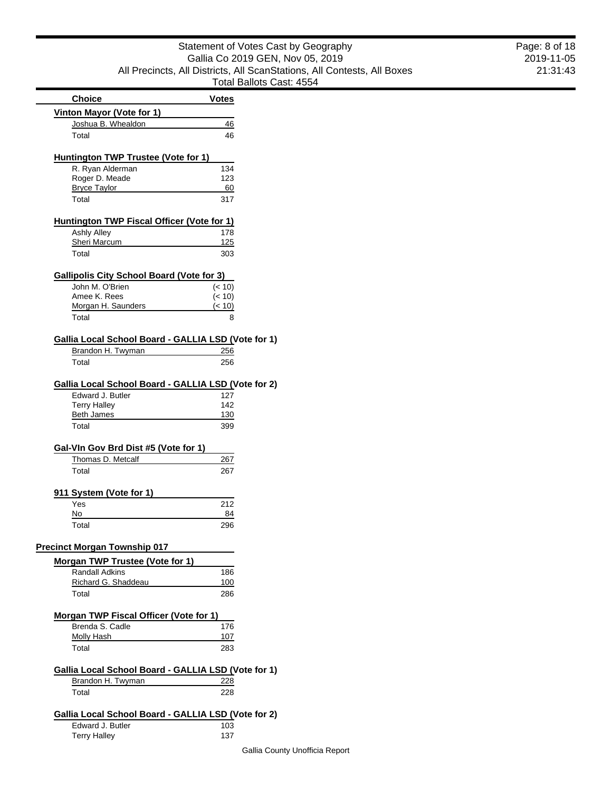|                                                     | Total Ballots Ca |
|-----------------------------------------------------|------------------|
| <b>Choice</b>                                       | <b>Votes</b>     |
| <b>Vinton Mayor (Vote for 1)</b>                    |                  |
| Joshua B. Whealdon                                  | 46               |
| Total                                               | 46               |
| <b>Huntington TWP Trustee (Vote for 1)</b>          |                  |
| R. Ryan Alderman                                    | 134              |
| Roger D. Meade                                      | 123              |
| <b>Bryce Taylor</b><br>Total                        | 60<br>317        |
|                                                     |                  |
| <b>Huntington TWP Fiscal Officer (Vote for 1)</b>   |                  |
| <b>Ashly Alley</b>                                  | 178              |
| Sheri Marcum                                        | 125              |
| Total                                               | 303              |
| <b>Gallipolis City School Board (Vote for 3)</b>    |                  |
| John M. O'Brien                                     | (< 10)           |
| Amee K. Rees                                        | (< 10)           |
| Morgan H. Saunders                                  | (< 10)           |
| Total                                               | 8                |
| Gallia Local School Board - GALLIA LSD (Vote for 1) |                  |
| Brandon H. Twyman                                   | 256              |
| Total                                               | 256              |
| Gallia Local School Board - GALLIA LSD (Vote for 2) |                  |
| Edward J. Butler                                    | 127              |
| <b>Terry Halley</b>                                 | 142              |
| Beth James                                          | 130              |
| Total                                               | 399              |
| Gal-VIn Gov Brd Dist #5 (Vote for 1)                |                  |
| Thomas D. Metcalf                                   | 267              |
| Total                                               | 267              |
| 911 System (Vote for 1)                             |                  |
| Yes                                                 | 212              |
| No                                                  | 84               |
| Total                                               | 296              |
| <b>Precinct Morgan Township 017</b>                 |                  |
| Morgan TWP Trustee (Vote for 1)                     |                  |
| <b>Randall Adkins</b>                               | 186              |
| Richard G. Shaddeau                                 | 100              |
|                                                     |                  |

| Morgan TWP Fiscal Officer (Vote for 1)              |     |
|-----------------------------------------------------|-----|
| Brenda S. Cadle                                     | 176 |
| Molly Hash                                          | 107 |
| Total                                               | 283 |
| Gallia Local School Board - GALLIA LSD (Vote for 1) |     |
| Brandon H. Twyman                                   | 228 |
| Total                                               | 228 |
|                                                     |     |

Total 286

# **Gallia Local School Board - GALLIA LSD (Vote for 2)**

| Edward J. Butler    | 103 |
|---------------------|-----|
| <b>Terry Halley</b> | 137 |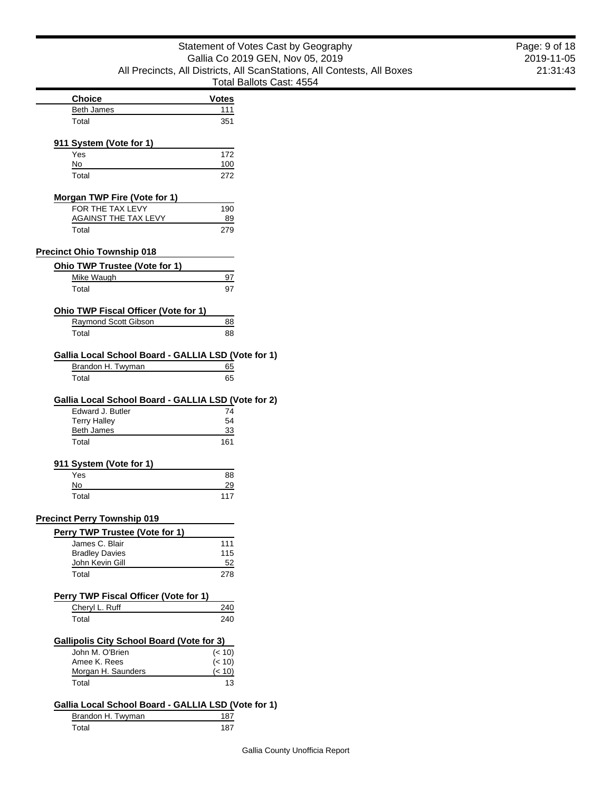|                                                                                                                              | Statement of Votes Cast by Geography                                    | Page: 9 of 18 |
|------------------------------------------------------------------------------------------------------------------------------|-------------------------------------------------------------------------|---------------|
|                                                                                                                              | Gallia Co 2019 GEN, Nov 05, 2019                                        | 2019-11-05    |
|                                                                                                                              | All Precincts, All Districts, All ScanStations, All Contests, All Boxes | 21:31:43      |
|                                                                                                                              | Total Ballots Cast: 4554                                                |               |
| <b>Choice</b>                                                                                                                | <b>Votes</b>                                                            |               |
| <b>Beth James</b>                                                                                                            | 111                                                                     |               |
| Total                                                                                                                        | 351                                                                     |               |
| 911 System (Vote for 1)                                                                                                      |                                                                         |               |
| Yes                                                                                                                          | 172                                                                     |               |
| No                                                                                                                           | 100                                                                     |               |
| Total                                                                                                                        | 272                                                                     |               |
| <b>Morgan TWP Fire (Vote for 1)</b>                                                                                          |                                                                         |               |
| FOR THE TAX LEVY                                                                                                             | 190                                                                     |               |
| <b>AGAINST THE TAX LEVY</b><br>Total                                                                                         | 89<br>279                                                               |               |
|                                                                                                                              |                                                                         |               |
| <b>Precinct Ohio Township 018</b>                                                                                            |                                                                         |               |
| <b>Ohio TWP Trustee (Vote for 1)</b><br>Mike Waugh                                                                           | 97                                                                      |               |
| Total                                                                                                                        | 97                                                                      |               |
|                                                                                                                              |                                                                         |               |
| <b>Ohio TWP Fiscal Officer (Vote for 1)</b>                                                                                  |                                                                         |               |
| Raymond Scott Gibson<br>Total                                                                                                | 88<br>88                                                                |               |
|                                                                                                                              |                                                                         |               |
| Gallia Local School Board - GALLIA LSD (Vote for 1)                                                                          |                                                                         |               |
| Brandon H. Twyman<br>Total                                                                                                   | 65<br>65                                                                |               |
| Gallia Local School Board - GALLIA LSD (Vote for 2)<br>Edward J. Butler<br><b>Terry Halley</b><br><b>Beth James</b><br>Total | 74<br>54<br>33<br>161                                                   |               |
| 911 System (Vote for 1)                                                                                                      |                                                                         |               |
| Yes                                                                                                                          | 88                                                                      |               |
| No                                                                                                                           | 29                                                                      |               |
| Total                                                                                                                        | 117                                                                     |               |
| <b>Precinct Perry Township 019</b>                                                                                           |                                                                         |               |
| Perry TWP Trustee (Vote for 1)                                                                                               |                                                                         |               |
| James C. Blair                                                                                                               | 111                                                                     |               |
| <b>Bradley Davies</b>                                                                                                        | 115                                                                     |               |
| John Kevin Gill<br>Total                                                                                                     | 52<br>278                                                               |               |
|                                                                                                                              |                                                                         |               |
| Perry TWP Fiscal Officer (Vote for 1)                                                                                        |                                                                         |               |
| Cheryl L. Ruff                                                                                                               | 240                                                                     |               |
| Total                                                                                                                        | 240                                                                     |               |
| <b>Gallipolis City School Board (Vote for 3)</b>                                                                             |                                                                         |               |
| John M. O'Brien                                                                                                              | (< 10)                                                                  |               |
| Amee K. Rees<br>Morgan H. Saunders                                                                                           | (< 10)<br>(< 10)                                                        |               |
| Total                                                                                                                        | 13                                                                      |               |
|                                                                                                                              |                                                                         |               |
| Gallia Local School Board - GALLIA LSD (Vote for 1)                                                                          |                                                                         |               |
| Brandon H. Twyman                                                                                                            | 187                                                                     |               |

Total 187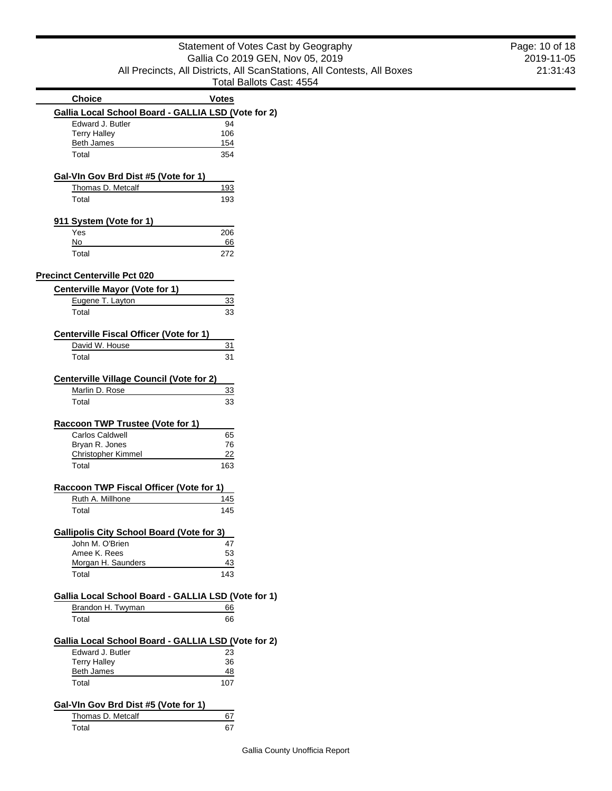| Statement of Votes Cast by Geography                                    |
|-------------------------------------------------------------------------|
| Gallia Co 2019 GEN, Nov 05, 2019                                        |
| All Precincts, All Districts, All ScanStations, All Contests, All Boxes |
| Total Ballots Cast: 4554                                                |

|                                                     | i ulai Daliuls Ud |
|-----------------------------------------------------|-------------------|
| <b>Choice</b>                                       | <b>Votes</b>      |
| Gallia Local School Board - GALLIA LSD (Vote for 2) |                   |
| Edward J. Butler                                    | 94                |
| <b>Terry Halley</b>                                 | 106               |
| <b>Beth James</b>                                   | 154               |
| Total                                               | 354               |
| Gal-VIn Gov Brd Dist #5 (Vote for 1)                |                   |
| Thomas D. Metcalf                                   | 193               |
| Total                                               | 193               |
| 911 System (Vote for 1)                             |                   |
| Yes                                                 | 206               |
| No                                                  | 66                |
| Total                                               | 272               |
| <b>Precinct Centerville Pct 020</b>                 |                   |
| <b>Centerville Mayor (Vote for 1)</b>               |                   |
| Eugene T. Layton                                    | 33                |
| Total                                               | 33                |
| <b>Centerville Fiscal Officer (Vote for 1)</b>      |                   |
| David W. House                                      | 31                |
| Total                                               | 31                |
| <b>Centerville Village Council (Vote for 2)</b>     |                   |
| Marlin D. Rose                                      | 33                |
| Total                                               | 33                |
| Raccoon TWP Trustee (Vote for 1)                    |                   |
| <b>Carlos Caldwell</b>                              | 65                |
| Bryan R. Jones                                      | 76                |
| <b>Christopher Kimmel</b>                           | 22                |
| Total                                               | 163               |
| Raccoon TWP Fiscal Officer (Vote for 1)             |                   |
| Ruth A. Millhone                                    | 145               |
| Total                                               | 145               |
| <b>Gallipolis City School Board (Vote for 3)</b>    |                   |
| John M. O'Brien                                     | 47                |
| Amee K. Rees                                        | 53                |
| Morgan H. Saunders                                  | 43                |
| Total                                               | 143               |
| Gallia Local School Board - GALLIA LSD (Vote for 1) |                   |
| Brandon H. Twyman                                   | 66                |
| Total                                               | 66                |
| Gallia Local School Board - GALLIA LSD (Vote for 2) |                   |
| Edward J. Butler                                    | 23                |
| <b>Terry Halley</b>                                 | 36                |
| <b>Beth James</b><br>Total                          | 48                |
|                                                     | 107               |
| Gal-VIn Gov Brd Dist #5 (Vote for 1)                |                   |
| Thomas D. Metcalf                                   | 67                |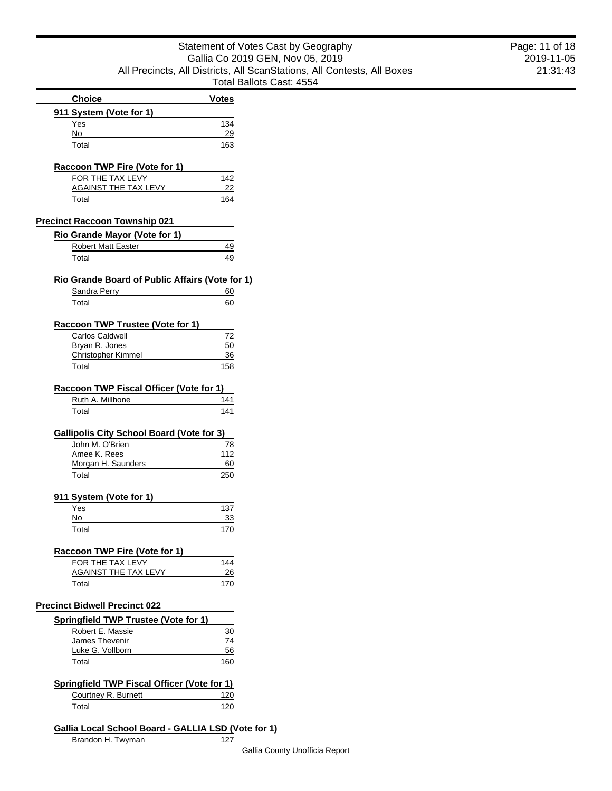|                                                          |              | Total Ballots Ca |
|----------------------------------------------------------|--------------|------------------|
| <b>Choice</b>                                            | <b>Votes</b> |                  |
| 911 System (Vote for 1)                                  |              |                  |
| Yes                                                      | 134          |                  |
| No<br>Total                                              | 29<br>163    |                  |
|                                                          |              |                  |
| Raccoon TWP Fire (Vote for 1)                            |              |                  |
| FOR THE TAX LEVY                                         | 142          |                  |
| AGAINST THE TAX LEVY                                     | 22           |                  |
| Total                                                    | 164          |                  |
| <b>Precinct Raccoon Township 021</b>                     |              |                  |
| Rio Grande Mayor (Vote for 1)                            |              |                  |
| <b>Robert Matt Easter</b>                                | 49           |                  |
| Total                                                    | 49           |                  |
| Rio Grande Board of Public Affairs (Vote for 1)          |              |                  |
| Sandra Perry                                             | 60           |                  |
| Total                                                    | 60           |                  |
| Raccoon TWP Trustee (Vote for 1)                         |              |                  |
| Carlos Caldwell                                          | 72           |                  |
| Bryan R. Jones                                           | 50           |                  |
| <b>Christopher Kimmel</b>                                | 36           |                  |
| Total                                                    | 158          |                  |
| Raccoon TWP Fiscal Officer (Vote for 1)                  |              |                  |
| Ruth A. Millhone                                         | 141          |                  |
| Total                                                    | 141          |                  |
| <b>Gallipolis City School Board (Vote for 3)</b>         |              |                  |
| John M. O'Brien                                          | 78           |                  |
| Amee K. Rees                                             | 112          |                  |
| Morgan H. Saunders                                       | 60           |                  |
| Total                                                    | 250          |                  |
| 911 System (Vote for 1)                                  |              |                  |
| Yes                                                      | 137          |                  |
| No                                                       | 33           |                  |
| Total                                                    | 170          |                  |
| <b>Raccoon TWP Fire (Vote for 1)</b>                     |              |                  |
| FOR THE TAX LEVY<br><b>AGAINST THE TAX LEVY</b>          | 144<br>-26   |                  |
| Total                                                    | 170          |                  |
|                                                          |              |                  |
| <b>Precinct Bidwell Precinct 022</b>                     |              |                  |
| Springfield TWP Trustee (Vote for 1)<br>Robert E. Massie | 30           |                  |
| James Thevenir                                           | 74           |                  |
| Luke G. Vollborn                                         | 56           |                  |
| Total                                                    | 160          |                  |
| <b>Springfield TWP Fiscal Officer (Vote for 1)</b>       |              |                  |
| Courtney R. Burnett                                      | 120          |                  |
| Total                                                    | 120          |                  |
| Gallia Local School Board - GALLIA LSD (Vote for 1)      |              |                  |
| Brandon H. Twyman                                        | 127          |                  |
|                                                          |              |                  |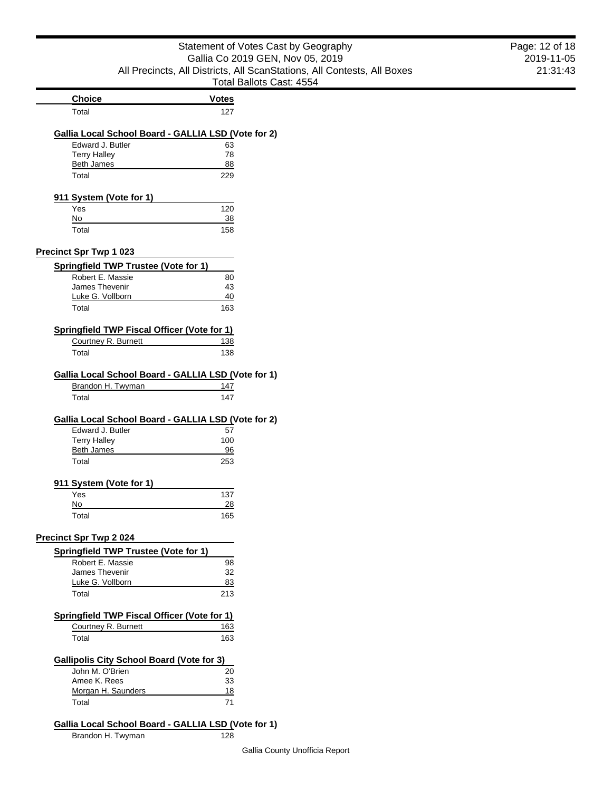|                                                                         | Statement of Votes Cast by Geography                                    | Page: 12 of 18 |
|-------------------------------------------------------------------------|-------------------------------------------------------------------------|----------------|
| Gallia Co 2019 GEN, Nov 05, 2019                                        |                                                                         | 2019-11-05     |
|                                                                         | All Precincts, All Districts, All ScanStations, All Contests, All Boxes | 21:31:43       |
|                                                                         | Total Ballots Cast: 4554                                                |                |
| <b>Choice</b>                                                           | <b>Votes</b>                                                            |                |
| Total                                                                   | 127                                                                     |                |
| Gallia Local School Board - GALLIA LSD (Vote for 2)                     |                                                                         |                |
| Edward J. Butler                                                        | 63                                                                      |                |
| <b>Terry Halley</b>                                                     | 78                                                                      |                |
| <b>Beth James</b>                                                       | 88                                                                      |                |
| Total                                                                   | 229                                                                     |                |
| 911 System (Vote for 1)                                                 |                                                                         |                |
| Yes                                                                     | 120                                                                     |                |
| No<br>Total                                                             | 38<br>158                                                               |                |
|                                                                         |                                                                         |                |
| <b>Precinct Spr Twp 1 023</b>                                           |                                                                         |                |
| <b>Springfield TWP Trustee (Vote for 1)</b>                             |                                                                         |                |
| Robert E. Massie                                                        | 80                                                                      |                |
| James Thevenir<br>Luke G. Vollborn                                      | 43<br>40                                                                |                |
| Total                                                                   | 163                                                                     |                |
|                                                                         |                                                                         |                |
| <b>Springfield TWP Fiscal Officer (Vote for 1)</b>                      |                                                                         |                |
| Courtney R. Burnett                                                     | <u>138</u>                                                              |                |
| Total                                                                   | 138                                                                     |                |
| Gallia Local School Board - GALLIA LSD (Vote for 1)                     |                                                                         |                |
| Brandon H. Twyman                                                       | 147                                                                     |                |
| Total                                                                   | 147                                                                     |                |
|                                                                         |                                                                         |                |
| Gallia Local School Board - GALLIA LSD (Vote for 2)<br>Edward J. Butler | 57                                                                      |                |
| <b>Terry Halley</b>                                                     | 100                                                                     |                |
| <b>Beth James</b>                                                       | 96                                                                      |                |
| Total                                                                   | 253                                                                     |                |
| 911 System (Vote for 1)                                                 |                                                                         |                |
| Yes                                                                     | 137                                                                     |                |
| No                                                                      | 28                                                                      |                |
| Total                                                                   | 165                                                                     |                |
| <b>Precinct Spr Twp 2024</b>                                            |                                                                         |                |
| Springfield TWP Trustee (Vote for 1)                                    |                                                                         |                |
| Robert E. Massie                                                        | 98                                                                      |                |
| James Thevenir                                                          | 32                                                                      |                |
| Luke G. Vollborn                                                        | 83                                                                      |                |
| Total                                                                   | 213                                                                     |                |
| <b>Springfield TWP Fiscal Officer (Vote for 1)</b>                      |                                                                         |                |
| Courtney R. Burnett                                                     | 163                                                                     |                |
| Total                                                                   | 163                                                                     |                |
| <b>Gallipolis City School Board (Vote for 3)</b>                        |                                                                         |                |
| John M. O'Brien                                                         | 20                                                                      |                |
| Amee K. Rees                                                            | 33                                                                      |                |
| Morgan H. Saunders                                                      | 18                                                                      |                |
| Total                                                                   | 71                                                                      |                |
|                                                                         |                                                                         |                |

# **Gallia Local School Board - GALLIA LSD (Vote for 1)**

Brandon H. Twyman 128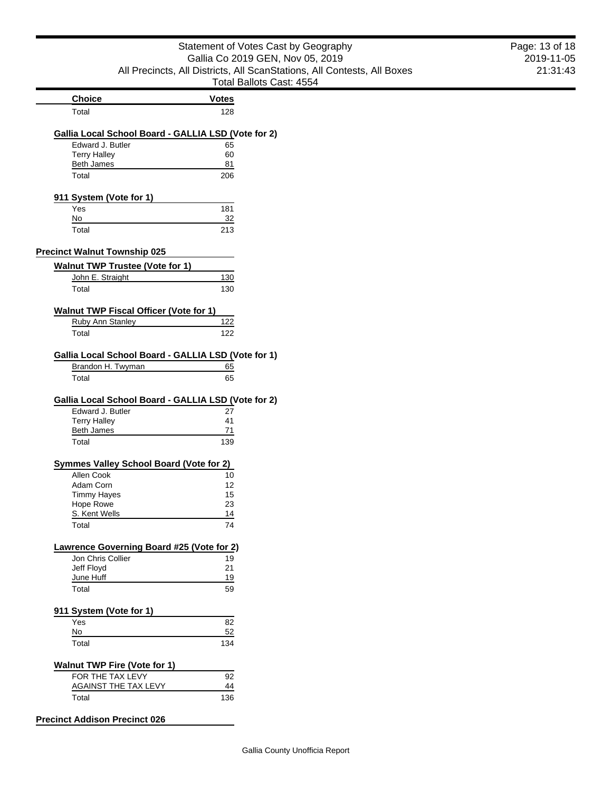|                                                                                                              | Statement of Votes Cast by Geography                                    | Page: 13 of 18 |
|--------------------------------------------------------------------------------------------------------------|-------------------------------------------------------------------------|----------------|
|                                                                                                              | Gallia Co 2019 GEN, Nov 05, 2019                                        | 2019-11-05     |
|                                                                                                              | All Precincts, All Districts, All ScanStations, All Contests, All Boxes | 21:31:43       |
|                                                                                                              | Total Ballots Cast: 4554                                                |                |
| <b>Choice</b>                                                                                                | <b>Votes</b>                                                            |                |
| Total                                                                                                        | 128                                                                     |                |
| Gallia Local School Board - GALLIA LSD (Vote for 2)                                                          |                                                                         |                |
| Edward J. Butler                                                                                             | 65                                                                      |                |
| <b>Terry Halley</b>                                                                                          | 60                                                                      |                |
| <b>Beth James</b><br>Total                                                                                   | 81<br>206                                                               |                |
|                                                                                                              |                                                                         |                |
| 911 System (Vote for 1)<br>Yes                                                                               | 181                                                                     |                |
| No                                                                                                           | 32                                                                      |                |
| Total                                                                                                        | 213                                                                     |                |
| <b>Precinct Walnut Township 025</b>                                                                          |                                                                         |                |
| <b>Walnut TWP Trustee (Vote for 1)</b>                                                                       |                                                                         |                |
| John E. Straight                                                                                             | 130                                                                     |                |
| Total                                                                                                        | 130                                                                     |                |
| <b>Walnut TWP Fiscal Officer (Vote for 1)</b>                                                                |                                                                         |                |
| <b>Ruby Ann Stanley</b>                                                                                      | 122                                                                     |                |
| Total                                                                                                        | 122                                                                     |                |
|                                                                                                              |                                                                         |                |
| Gallia Local School Board - GALLIA LSD (Vote for 1)<br>Brandon H. Twyman                                     | 65                                                                      |                |
| Total                                                                                                        | 65                                                                      |                |
| Gallia Local School Board - GALLIA LSD (Vote for 2)<br>Edward J. Butler<br><b>Terry Halley</b><br>Beth James | 27<br>41<br>71                                                          |                |
| Total                                                                                                        | 139                                                                     |                |
| <b>Symmes Valley School Board (Vote for 2)</b>                                                               |                                                                         |                |
| Allen Cook                                                                                                   | 10                                                                      |                |
| Adam Corn                                                                                                    | 12                                                                      |                |
| <b>Timmy Hayes</b><br>Hope Rowe                                                                              | 15<br>23                                                                |                |
| S. Kent Wells                                                                                                | 14                                                                      |                |
| Total                                                                                                        | 74                                                                      |                |
| Lawrence Governing Board #25 (Vote for 2)                                                                    |                                                                         |                |
| Jon Chris Collier                                                                                            | 19                                                                      |                |
| Jeff Floyd                                                                                                   | 21                                                                      |                |
| June Huff                                                                                                    | 19                                                                      |                |
| Total                                                                                                        | 59                                                                      |                |
| 911 System (Vote for 1)                                                                                      |                                                                         |                |
| Yes                                                                                                          | 82                                                                      |                |
| No<br>Total                                                                                                  | 52<br>134                                                               |                |
|                                                                                                              |                                                                         |                |
| <b>Walnut TWP Fire (Vote for 1)</b>                                                                          |                                                                         |                |
| FOR THE TAX LEVY<br><b>AGAINST THE TAX LEVY</b>                                                              | 92<br>$\frac{44}{1}$                                                    |                |
| Total                                                                                                        | 136                                                                     |                |
|                                                                                                              |                                                                         |                |
| <b>Precinct Addison Precinct 026</b>                                                                         |                                                                         |                |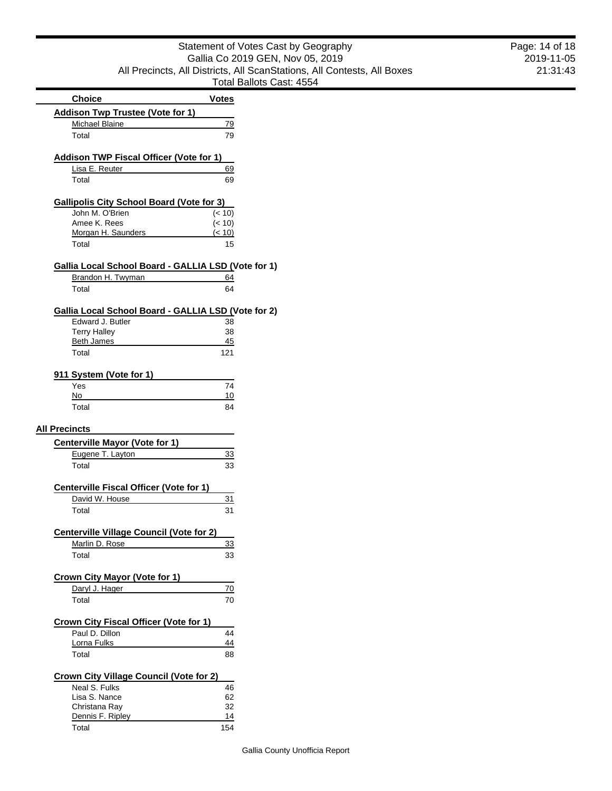|                                                                  | Total Ballots Ca |  |
|------------------------------------------------------------------|------------------|--|
| <b>Choice</b>                                                    | <b>Votes</b>     |  |
| <b>Addison Twp Trustee (Vote for 1)</b>                          |                  |  |
| Michael Blaine                                                   | 79               |  |
| Total                                                            | 79               |  |
| <b>Addison TWP Fiscal Officer (Vote for 1)</b>                   |                  |  |
| Lisa E. Reuter                                                   | 69               |  |
| Total                                                            | 69               |  |
| <b>Gallipolis City School Board (Vote for 3)</b>                 |                  |  |
| John M. O'Brien                                                  | (< 10)           |  |
| Amee K. Rees                                                     | (< 10)           |  |
| Morgan H. Saunders<br>Total                                      | (< 10)<br>15     |  |
|                                                                  |                  |  |
| Gallia Local School Board - GALLIA LSD (Vote for 1)              |                  |  |
| Brandon H. Twyman                                                | <u>64</u>        |  |
| Total                                                            | 64               |  |
| Gallia Local School Board - GALLIA LSD (Vote for 2)              |                  |  |
| Edward J. Butler                                                 | 38               |  |
| <b>Terry Halley</b>                                              | 38               |  |
| <b>Beth James</b>                                                | 45               |  |
| Total                                                            | 121              |  |
| 911 System (Vote for 1)                                          |                  |  |
| Yes                                                              | 74               |  |
| No                                                               | 10               |  |
| Total                                                            | 84               |  |
| <b>All Precincts</b><br><b>Centerville Mayor (Vote for 1)</b>    |                  |  |
| Eugene T. Layton                                                 | 33               |  |
| Total                                                            | 33               |  |
|                                                                  |                  |  |
| <b>Centerville Fiscal Officer (Vote for 1)</b><br>David W. House | 31               |  |
| Total                                                            | 31               |  |
|                                                                  |                  |  |
| <b>Centerville Village Council (Vote for 2)</b>                  |                  |  |
| Marlin D. Rose                                                   | 33               |  |
| Total                                                            | 33               |  |
| Crown City Mayor (Vote for 1)                                    |                  |  |
| Daryl J. Hager                                                   | 70               |  |
| Total                                                            | 70               |  |
| Crown City Fiscal Officer (Vote for 1)                           |                  |  |
| Paul D. Dillon                                                   | 44               |  |
| Lorna Fulks                                                      | 44               |  |
| Total                                                            | 88               |  |
| <b>Crown City Village Council (Vote for 2)</b>                   |                  |  |
| Neal S. Fulks                                                    | 46               |  |
| Lisa S. Nance                                                    | 62               |  |
| Christana Ray                                                    | 32               |  |
| Dennis F. Ripley                                                 | 14               |  |
| Total                                                            | 154              |  |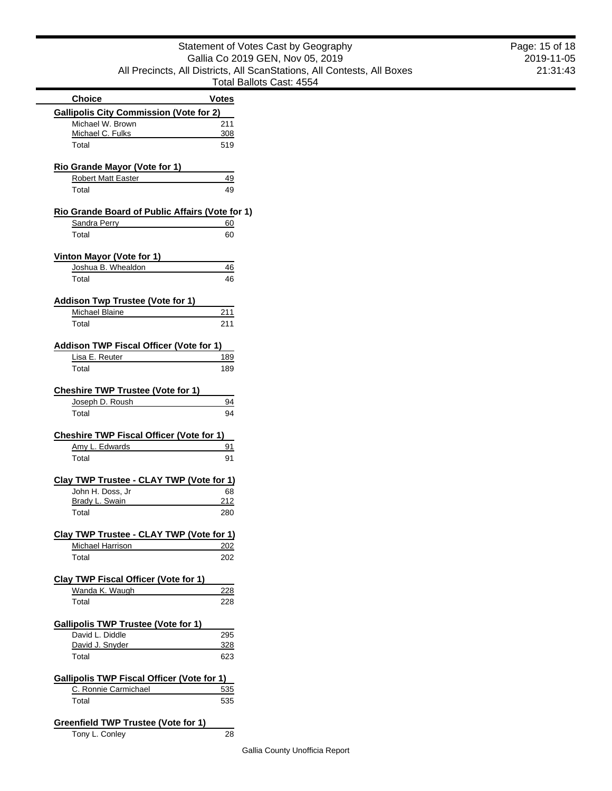|                                                 | i olai bai |
|-------------------------------------------------|------------|
| <b>Choice</b>                                   | Votes      |
| <b>Gallipolis City Commission (Vote for 2)</b>  |            |
| Michael W. Brown                                | 211        |
| Michael C. Fulks                                | 308        |
| Total                                           | 519        |
| Rio Grande Mayor (Vote for 1)                   |            |
| <b>Robert Matt Easter</b>                       | 49         |
| Total                                           | 49         |
| Rio Grande Board of Public Affairs (Vote for 1) |            |
| Sandra Perry                                    | 60         |
| Total                                           | 60         |
| Vinton Mayor (Vote for 1)                       |            |
| Joshua B. Whealdon                              | 46         |
| Total                                           | 46         |
| <b>Addison Twp Trustee (Vote for 1)</b>         |            |
| Michael Blaine                                  | 211        |
| Total                                           | 211        |
|                                                 |            |
| <b>Addison TWP Fiscal Officer (Vote for 1)</b>  |            |
| Lisa E. Reuter                                  | 189        |
| Total                                           | 189        |
| <b>Cheshire TWP Trustee (Vote for 1)</b>        |            |
| Joseph D. Roush                                 | 94         |
| Total                                           | 94         |
| <b>Cheshire TWP Fiscal Officer (Vote for 1)</b> |            |
| Amy L. Edwards                                  | 91         |
| Total                                           | 91         |
|                                                 |            |
| Clay TWP Trustee - CLAY TWP (Vote for 1)        |            |
| John H. Doss, Jr<br>Brady L. Swain              | 68<br>212  |
| Total                                           | 280        |
|                                                 |            |
| Clay TWP Trustee - CLAY TWP (Vote for 1)        |            |
| Michael Harrison                                | 202        |
| Total                                           | 202        |
| Clay TWP Fiscal Officer (Vote for 1)            |            |
| Wanda K. Waugh                                  | 228        |
| Total                                           | 228        |
| <b>Gallipolis TWP Trustee (Vote for 1)</b>      |            |
| David L. Diddle                                 | 295        |
| David J. Snyder                                 | <u>328</u> |
| Total                                           | 623        |

| <b>Gallipolis TWP Fiscal Officer (Vote for 1)</b> |     |  |
|---------------------------------------------------|-----|--|
| C. Ronnie Carmichael                              | 535 |  |
| Total                                             | 535 |  |

| Greenfield TWP Trustee (Vote for 1) |    |
|-------------------------------------|----|
| Tony L. Conley                      | 28 |

2019-11-05 21:31:43 Page: 15 of 18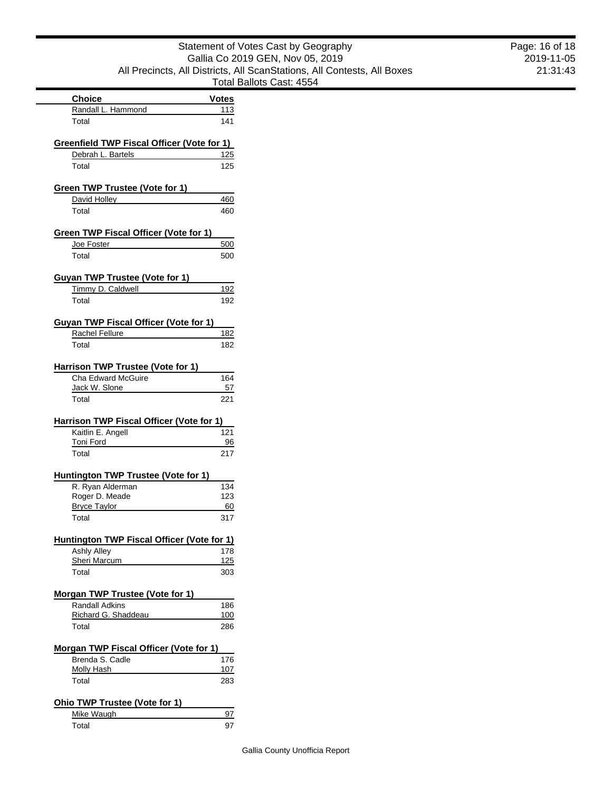| Statement of Votes Cast by Geography                                    |
|-------------------------------------------------------------------------|
| Gallia Co 2019 GEN, Nov 05, 2019                                        |
| All Precincts, All Districts, All ScanStations, All Contests, All Boxes |
| Total Ballots Cast: 4554                                                |

| ent of Votes Cast by Geography                   |
|--------------------------------------------------|
| a Co 2019 GEN, Nov 05, 2019                      |
| ricts, All ScanStations, All Contests, All Boxes |
| Total Ballots Cast: 4554                         |
| Votes                                            |
| 113                                              |
| 141                                              |
|                                                  |
| or 1)                                            |

| Randall L. Hammond                                              | 113        |
|-----------------------------------------------------------------|------------|
| Total                                                           | 141        |
| Greenfield TWP Fiscal Officer (Vote for 1)                      |            |
| Debrah L. Bartels                                               | 125        |
| Total                                                           | 125        |
| Green TWP Trustee (Vote for 1)                                  |            |
| David Holley                                                    | 460        |
| Total                                                           | 460        |
| Green TWP Fiscal Officer (Vote for 1)                           |            |
| Joe Foster                                                      | 500        |
| Total                                                           | 500        |
| <b>Guyan TWP Trustee (Vote for 1)</b>                           |            |
| Timmy D. Caldwell                                               | 192        |
| Total                                                           | 192        |
| Guyan TWP Fiscal Officer (Vote for 1)                           |            |
| Rachel Fellure                                                  | 182        |
| Total                                                           | 182        |
| Harrison TWP Trustee (Vote for 1)                               |            |
| <b>Cha Edward McGuire</b>                                       | 164        |
| Jack W. Slone                                                   | 57         |
| Total                                                           | 221        |
| Harrison TWP Fiscal Officer (Vote for 1)                        |            |
| Kaitlin E. Angell<br>Toni Ford                                  | 121<br>96  |
| Total                                                           | 217        |
| Huntington TWP Trustee (Vote for 1)                             |            |
| R. Ryan Alderman                                                | 134        |
| Roger D. Meade                                                  | 123        |
| <b>Bryce Taylor</b>                                             | 60         |
| Total                                                           | 317        |
| Huntington TWP Fiscal Officer (Vote for 1)                      |            |
| Ashly Alley                                                     | 178        |
| Sheri Marcum<br>Total                                           | 125<br>303 |
|                                                                 |            |
| <b>Morgan TWP Trustee (Vote for 1)</b><br><b>Randall Adkins</b> | 186        |
| Richard G. Shaddeau                                             | 100        |
| Total                                                           | 286        |
| <b>Morgan TWP Fiscal Officer (Vote for 1)</b>                   |            |
| Brenda S. Cadle                                                 | 176        |
| Molly Hash                                                      | 107        |
| Total                                                           | 283        |
| Ohio TWP Trustee (Vote for 1)                                   |            |
| Mike Waugh                                                      | 97         |

**Choice** 

Total 97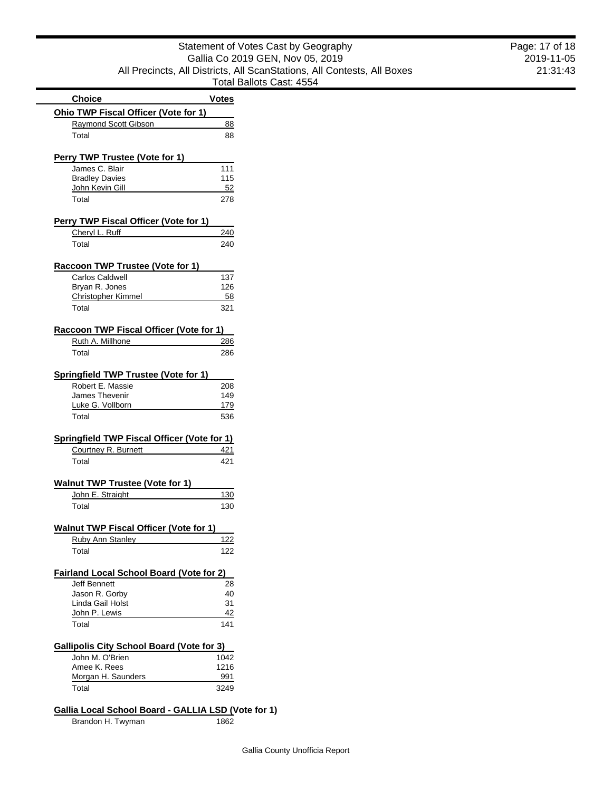| Statement of Votes Cast by Geography                                    |
|-------------------------------------------------------------------------|
| Gallia Co 2019 GEN, Nov 05, 2019                                        |
| All Precincts, All Districts, All ScanStations, All Contests, All Boxes |
| Total Ballots Cast: 4554                                                |

|                                                    | Total E      |
|----------------------------------------------------|--------------|
| <b>Choice</b>                                      | <b>Votes</b> |
| Ohio TWP Fiscal Officer (Vote for 1)               |              |
| Raymond Scott Gibson                               | 88           |
| Total                                              | 88           |
| Perry TWP Trustee (Vote for 1)                     |              |
| James C. Blair                                     | 111          |
| <b>Bradley Davies</b>                              | 115          |
| John Kevin Gill                                    | <u>52</u>    |
| Total                                              | 278          |
| Perry TWP Fiscal Officer (Vote for 1)              |              |
| Cheryl L. Ruff                                     | 240          |
|                                                    |              |
| Total                                              | 240          |
| Raccoon TWP Trustee (Vote for 1)                   |              |
| Carlos Caldwell                                    | 137          |
| Bryan R. Jones                                     | 126          |
| <b>Christopher Kimmel</b>                          | 58           |
| Total                                              | 321          |
| Raccoon TWP Fiscal Officer (Vote for 1)            |              |
| Ruth A. Millhone                                   | 286          |
|                                                    | 286          |
| Total                                              |              |
| <b>Springfield TWP Trustee (Vote for 1)</b>        |              |
| Robert E. Massie                                   | 208          |
| <b>James Thevenir</b>                              | 149          |
| Luke G. Vollborn                                   | 179          |
| Total                                              | 536          |
| <b>Springfield TWP Fiscal Officer (Vote for 1)</b> |              |
| Courtney R. Burnett                                | 421          |
| Total                                              | 421          |
| <b>Walnut TWP Trustee (Vote for 1)</b>             |              |
|                                                    |              |
| John E. Straight                                   | 130          |
| Total                                              | 130          |
| <b>Walnut TWP Fiscal Officer (Vote for</b>         | · 1)         |
| Ruby Ann Stanley                                   | 122          |
| Total                                              | 122          |
| <b>Fairland Local School Board (Vote for 2)</b>    |              |
| <b>Jeff Bennett</b>                                | 28           |
| Jason R. Gorby                                     | 40           |
| Linda Gail Holst                                   | 31           |
| John P. Lewis                                      | 42           |
| Total                                              | 141          |
|                                                    |              |
| <b>Gallipolis City School Board (Vote for 3)</b>   |              |
| John M. O'Brien                                    | 1042         |
| Amee K. Rees                                       | 1216         |
| Morgan H. Saunders                                 | 991          |
| Total                                              | 3249         |

# **Gallia Local School Board - GALLIA LSD (Vote for 1)**<br>Brandon H. Twyman 1862

Brandon H. Twyman